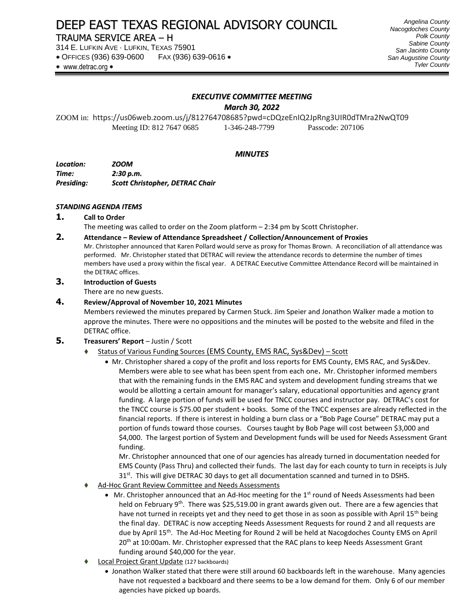# DEEP EAST TEXAS REGIONAL ADVISORY COUNCIL

# TRAUMA SERVICE AREA – H

314 E. LUFKIN AVE · LUFKIN, TEXAS 75901

OFFICES (936) 639-0600 FAX (936) 639-0616

*Angelina County Nacogdoches County Polk County Sabine County San Jacinto County San Augustine County Tyler County*

\* www.detrac.org \*

#### *EXECUTIVE COMMITTEE MEETING*

*March 30, 2022*

ZOOM in: https://us06web.zoom.us/j/812764708685?pwd=cDQzeEnIQ2JpRng3UIR0dTMra2NwQT09 Meeting ID: 812 7647 0685 1-346-248-7799 Passcode: 207106

#### *MINUTES*

*Location: ZOOM Time: 2:30 p.m. Presiding: Scott Christopher, DETRAC Chair*

#### *STANDING AGENDA ITEMS*

- **1. Call to Order**
- The meeting was called to order on the Zoom platform 2:34 pm by Scott Christopher.

#### **2. Attendance – Review of Attendance Spreadsheet / Collection/Announcement of Proxies**

Mr. Christopher announced that Karen Pollard would serve as proxy for Thomas Brown. A reconciliation of all attendance was performed. Mr. Christopher stated that DETRAC will review the attendance records to determine the number of times members have used a proxy within the fiscal year. A DETRAC Executive Committee Attendance Record will be maintained in the DETRAC offices.

# **3. Introduction of Guests**

There are no new guests.

#### **4. Review/Approval of November 10, 2021 Minutes**

Members reviewed the minutes prepared by Carmen Stuck. Jim Speier and Jonathon Walker made a motion to approve the minutes. There were no oppositions and the minutes will be posted to the website and filed in the DETRAC office.

#### **5. Treasurers' Report** – Justin / Scott

- Status of Various Funding Sources (EMS County, EMS RAC, Sys&Dev) Scott
	- Mr. Christopher shared a copy of the profit and loss reports for EMS County, EMS RAC, and Sys&Dev. Members were able to see what has been spent from each one**.** Mr. Christopher informed members that with the remaining funds in the EMS RAC and system and development funding streams that we would be allotting a certain amount for manager's salary, educational opportunities and agency grant funding. A large portion of funds will be used for TNCC courses and instructor pay. DETRAC's cost for the TNCC course is \$75.00 per student + books. Some of the TNCC expenses are already reflected in the financial reports. If there is interest in holding a burn class or a "Bob Page Course" DETRAC may put a portion of funds toward those courses. Courses taught by Bob Page will cost between \$3,000 and \$4,000. The largest portion of System and Development funds will be used for Needs Assessment Grant funding.

Mr. Christopher announced that one of our agencies has already turned in documentation needed for EMS County (Pass Thru) and collected their funds. The last day for each county to turn in receipts is July  $31<sup>st</sup>$ . This will give DETRAC 30 days to get all documentation scanned and turned in to DSHS.

- Ad-Hoc Grant Review Committee and Needs Assessments
	- Mr. Christopher announced that an Ad-Hoc meeting for the 1<sup>st</sup> round of Needs Assessments had been held on February 9<sup>th</sup>. There was \$25,519.00 in grant awards given out. There are a few agencies that have not turned in receipts yet and they need to get those in as soon as possible with April 15<sup>th</sup> being the final day. DETRAC is now accepting Needs Assessment Requests for round 2 and all requests are due by April 15<sup>th</sup>. The Ad-Hoc Meeting for Round 2 will be held at Nacogdoches County EMS on April 20<sup>th</sup> at 10:00am. Mr. Christopher expressed that the RAC plans to keep Needs Assessment Grant funding around \$40,000 for the year.
- ⧫ Local Project Grant Update (127 backboards)
	- Jonathon Walker stated that there were still around 60 backboards left in the warehouse. Many agencies have not requested a backboard and there seems to be a low demand for them. Only 6 of our member agencies have picked up boards.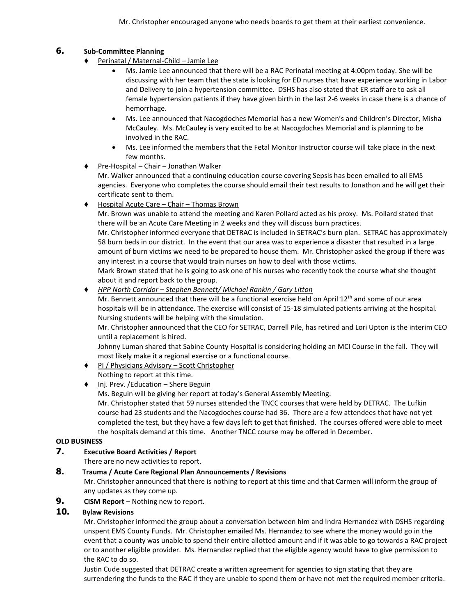# **6. Sub-Committee Planning**

- ⧫ Perinatal / Maternal-Child Jamie Lee
	- Ms. Jamie Lee announced that there will be a RAC Perinatal meeting at 4:00pm today. She will be discussing with her team that the state is looking for ED nurses that have experience working in Labor and Delivery to join a hypertension committee. DSHS has also stated that ER staff are to ask all female hypertension patients if they have given birth in the last 2-6 weeks in case there is a chance of hemorrhage.
	- Ms. Lee announced that Nacogdoches Memorial has a new Women's and Children's Director, Misha McCauley. Ms. McCauley is very excited to be at Nacogdoches Memorial and is planning to be involved in the RAC.
	- Ms. Lee informed the members that the Fetal Monitor Instructor course will take place in the next few months.
- ⧫ Pre-Hospital Chair Jonathan Walker

Mr. Walker announced that a continuing education course covering Sepsis has been emailed to all EMS agencies. Everyone who completes the course should email their test results to Jonathon and he will get their certificate sent to them.

⧫ Hospital Acute Care – Chair – Thomas Brown

Mr. Brown was unable to attend the meeting and Karen Pollard acted as his proxy. Ms. Pollard stated that there will be an Acute Care Meeting in 2 weeks and they will discuss burn practices.

Mr. Christopher informed everyone that DETRAC is included in SETRAC's burn plan. SETRAC has approximately 58 burn beds in our district. In the event that our area was to experience a disaster that resulted in a large amount of burn victims we need to be prepared to house them. Mr. Christopher asked the group if there was any interest in a course that would train nurses on how to deal with those victims.

Mark Brown stated that he is going to ask one of his nurses who recently took the course what she thought about it and report back to the group.

⧫ *HPP North Corridor – Stephen Bennett/ Michael Rankin / Gary Litton*

Mr. Bennett announced that there will be a functional exercise held on April  $12<sup>th</sup>$  and some of our area hospitals will be in attendance. The exercise will consist of 15-18 simulated patients arriving at the hospital. Nursing students will be helping with the simulation.

Mr. Christopher announced that the CEO for SETRAC, Darrell Pile, has retired and Lori Upton is the interim CEO until a replacement is hired.

Johnny Luman shared that Sabine County Hospital is considering holding an MCI Course in the fall. They will most likely make it a regional exercise or a functional course.

- ◆ PI / Physicians Advisory Scott Christopher Nothing to report at this time.
- ◆ Inj. Prev. /Education Shere Beguin

Ms. Beguin will be giving her report at today's General Assembly Meeting.

Mr. Christopher stated that 59 nurses attended the TNCC courses that were held by DETRAC. The Lufkin course had 23 students and the Nacogdoches course had 36. There are a few attendees that have not yet completed the test, but they have a few days left to get that finished. The courses offered were able to meet the hospitals demand at this time. Another TNCC course may be offered in December.

#### **OLD BUSINESS**

#### **7. Executive Board Activities / Report**

There are no new activities to report.

# **8. Trauma / Acute Care Regional Plan Announcements / Revisions**

Mr. Christopher announced that there is nothing to report at this time and that Carmen will inform the group of any updates as they come up.

**9. CISM Report** – Nothing new to report.

# **10. Bylaw Revisions**

Mr. Christopher informed the group about a conversation between him and Indra Hernandez with DSHS regarding unspent EMS County Funds. Mr. Christopher emailed Ms. Hernandez to see where the money would go in the event that a county was unable to spend their entire allotted amount and if it was able to go towards a RAC project or to another eligible provider. Ms. Hernandez replied that the eligible agency would have to give permission to the RAC to do so.

Justin Cude suggested that DETRAC create a written agreement for agencies to sign stating that they are surrendering the funds to the RAC if they are unable to spend them or have not met the required member criteria.